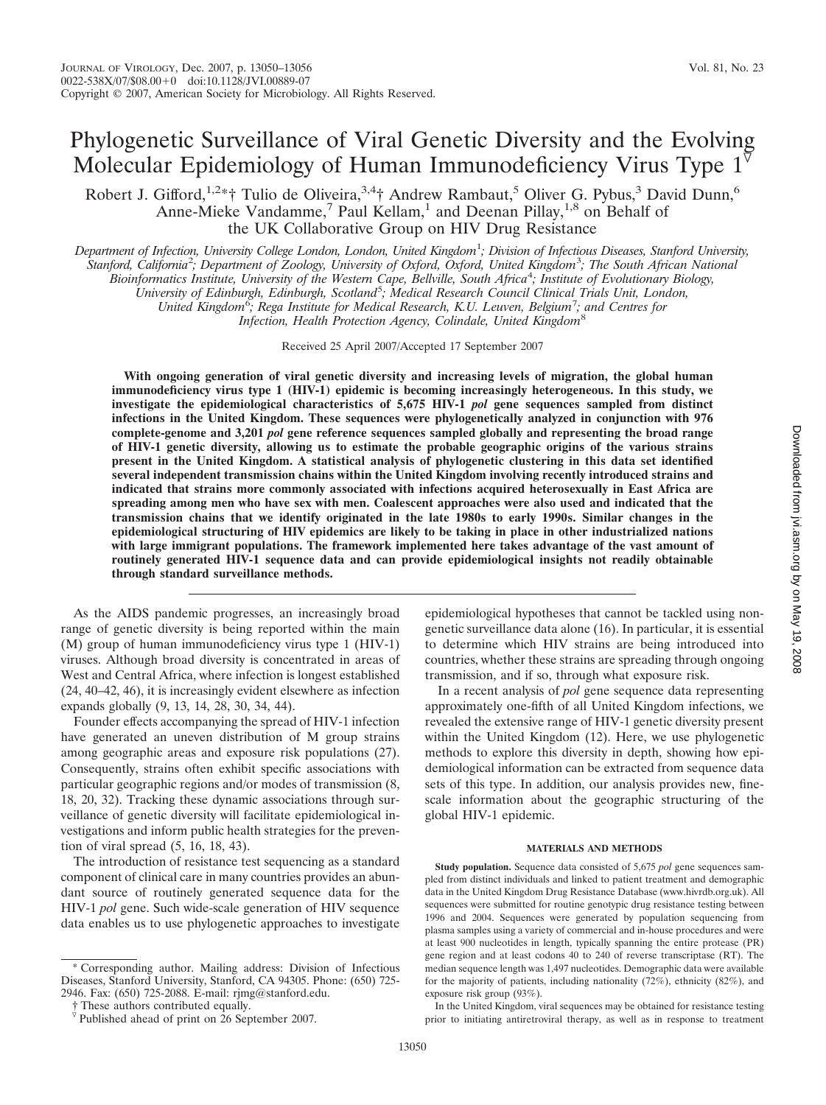# Phylogenetic Surveillance of Viral Genetic Diversity and the Evolving Molecular Epidemiology of Human Immunodeficiency Virus Type 1

Robert J. Gifford,<sup>1,2\*</sup>† Tulio de Oliveira,<sup>3,4</sup>† Andrew Rambaut,<sup>5</sup> Oliver G. Pybus,<sup>3</sup> David Dunn,<sup>6</sup> Anne-Mieke Vandamme,<sup>7</sup> Paul Kellam,<sup>1</sup> and Deenan Pillay,<sup>1,8</sup> on Behalf of the UK Collaborative Group on HIV Drug Resistance

Department of Infection, University College London, London, United Kingdom<sup>1</sup>; Division of Infectious Diseases, Stanford University,<br>Stanford, California<sup>2</sup>; Department of Zoology, University of Oxford, Oxford, United King *Bioinformatics Institute, University of the Western Cape, Bellville, South Africa*<sup>4</sup> *; Institute of Evolutionary Biology, University of Edinburgh, Edinburgh, Scotland*<sup>5</sup> *; Medical Research Council Clinical Trials Unit, London, United Kingdom*<sup>6</sup> *; Rega Institute for Medical Research, K.U. Leuven, Belgium*<sup>7</sup> *; and Centres for*

*Infection, Health Protection Agency, Colindale, United Kingdom*<sup>8</sup>

Received 25 April 2007/Accepted 17 September 2007

**With ongoing generation of viral genetic diversity and increasing levels of migration, the global human immunodeficiency virus type 1 (HIV-1) epidemic is becoming increasingly heterogeneous. In this study, we investigate the epidemiological characteristics of 5,675 HIV-1** *pol* **gene sequences sampled from distinct infections in the United Kingdom. These sequences were phylogenetically analyzed in conjunction with 976 complete-genome and 3,201** *pol* **gene reference sequences sampled globally and representing the broad range of HIV-1 genetic diversity, allowing us to estimate the probable geographic origins of the various strains present in the United Kingdom. A statistical analysis of phylogenetic clustering in this data set identified several independent transmission chains within the United Kingdom involving recently introduced strains and indicated that strains more commonly associated with infections acquired heterosexually in East Africa are spreading among men who have sex with men. Coalescent approaches were also used and indicated that the transmission chains that we identify originated in the late 1980s to early 1990s. Similar changes in the epidemiological structuring of HIV epidemics are likely to be taking in place in other industrialized nations with large immigrant populations. The framework implemented here takes advantage of the vast amount of routinely generated HIV-1 sequence data and can provide epidemiological insights not readily obtainable through standard surveillance methods.**

As the AIDS pandemic progresses, an increasingly broad range of genetic diversity is being reported within the main (M) group of human immunodeficiency virus type 1 (HIV-1) viruses. Although broad diversity is concentrated in areas of West and Central Africa, where infection is longest established (24, 40–42, 46), it is increasingly evident elsewhere as infection expands globally (9, 13, 14, 28, 30, 34, 44).

Founder effects accompanying the spread of HIV-1 infection have generated an uneven distribution of M group strains among geographic areas and exposure risk populations (27). Consequently, strains often exhibit specific associations with particular geographic regions and/or modes of transmission (8, 18, 20, 32). Tracking these dynamic associations through surveillance of genetic diversity will facilitate epidemiological investigations and inform public health strategies for the prevention of viral spread (5, 16, 18, 43).

The introduction of resistance test sequencing as a standard component of clinical care in many countries provides an abundant source of routinely generated sequence data for the HIV-1 *pol* gene. Such wide-scale generation of HIV sequence data enables us to use phylogenetic approaches to investigate

\* Corresponding author. Mailing address: Division of Infectious Diseases, Stanford University, Stanford, CA 94305. Phone: (650) 725- 2946. Fax: (650) 725-2088. E-mail: rjmg@stanford.edu.

epidemiological hypotheses that cannot be tackled using nongenetic surveillance data alone (16). In particular, it is essential to determine which HIV strains are being introduced into countries, whether these strains are spreading through ongoing transmission, and if so, through what exposure risk.

In a recent analysis of *pol* gene sequence data representing approximately one-fifth of all United Kingdom infections, we revealed the extensive range of HIV-1 genetic diversity present within the United Kingdom (12). Here, we use phylogenetic methods to explore this diversity in depth, showing how epidemiological information can be extracted from sequence data sets of this type. In addition, our analysis provides new, finescale information about the geographic structuring of the global HIV-1 epidemic.

### **MATERIALS AND METHODS**

**Study population.** Sequence data consisted of 5,675 *pol* gene sequences sampled from distinct individuals and linked to patient treatment and demographic data in the United Kingdom Drug Resistance Database (www.hivrdb.org.uk). All sequences were submitted for routine genotypic drug resistance testing between 1996 and 2004. Sequences were generated by population sequencing from plasma samples using a variety of commercial and in-house procedures and were at least 900 nucleotides in length, typically spanning the entire protease (PR) gene region and at least codons 40 to 240 of reverse transcriptase (RT). The median sequence length was 1,497 nucleotides. Demographic data were available for the majority of patients, including nationality (72%), ethnicity (82%), and exposure risk group (93%).

In the United Kingdom, viral sequences may be obtained for resistance testing prior to initiating antiretroviral therapy, as well as in response to treatment

<sup>†</sup> These authors contributed equally.

 $\overline{v}$  Published ahead of print on 26 September 2007.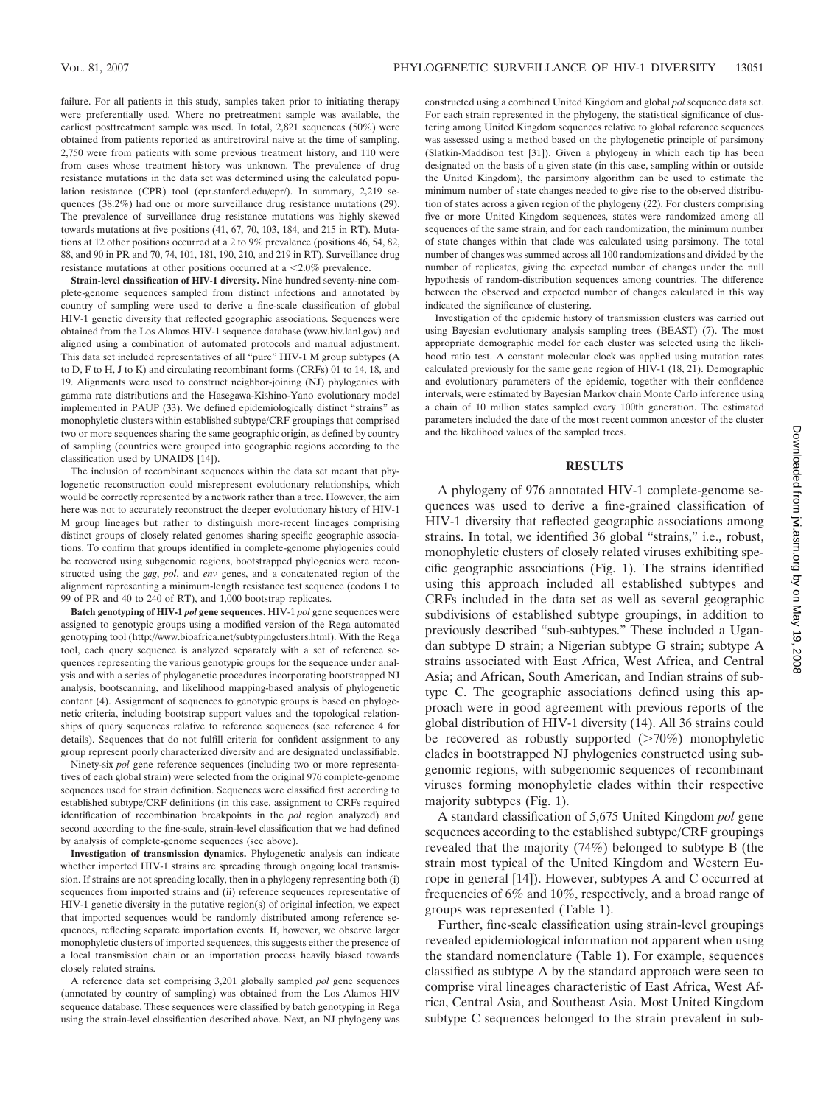failure. For all patients in this study, samples taken prior to initiating therapy were preferentially used. Where no pretreatment sample was available, the earliest posttreatment sample was used. In total, 2,821 sequences (50%) were obtained from patients reported as antiretroviral naive at the time of sampling, 2,750 were from patients with some previous treatment history, and 110 were from cases whose treatment history was unknown. The prevalence of drug resistance mutations in the data set was determined using the calculated population resistance (CPR) tool (cpr.stanford.edu/cpr/). In summary, 2,219 sequences (38.2%) had one or more surveillance drug resistance mutations (29). The prevalence of surveillance drug resistance mutations was highly skewed towards mutations at five positions (41, 67, 70, 103, 184, and 215 in RT). Mutations at 12 other positions occurred at a 2 to 9% prevalence (positions 46, 54, 82, 88, and 90 in PR and 70, 74, 101, 181, 190, 210, and 219 in RT). Surveillance drug resistance mutations at other positions occurred at  $a < 2.0\%$  prevalence.

**Strain-level classification of HIV-1 diversity.** Nine hundred seventy-nine complete-genome sequences sampled from distinct infections and annotated by country of sampling were used to derive a fine-scale classification of global HIV-1 genetic diversity that reflected geographic associations. Sequences were obtained from the Los Alamos HIV-1 sequence database (www.hiv.lanl.gov) and aligned using a combination of automated protocols and manual adjustment. This data set included representatives of all "pure" HIV-1 M group subtypes (A to D, F to H, J to K) and circulating recombinant forms (CRFs) 01 to 14, 18, and 19. Alignments were used to construct neighbor-joining (NJ) phylogenies with gamma rate distributions and the Hasegawa-Kishino-Yano evolutionary model implemented in PAUP (33). We defined epidemiologically distinct "strains" as monophyletic clusters within established subtype/CRF groupings that comprised two or more sequences sharing the same geographic origin, as defined by country of sampling (countries were grouped into geographic regions according to the classification used by UNAIDS [14]).

The inclusion of recombinant sequences within the data set meant that phylogenetic reconstruction could misrepresent evolutionary relationships, which would be correctly represented by a network rather than a tree. However, the aim here was not to accurately reconstruct the deeper evolutionary history of HIV-1 M group lineages but rather to distinguish more-recent lineages comprising distinct groups of closely related genomes sharing specific geographic associations. To confirm that groups identified in complete-genome phylogenies could be recovered using subgenomic regions, bootstrapped phylogenies were reconstructed using the *gag*, *pol*, and *env* genes, and a concatenated region of the alignment representing a minimum-length resistance test sequence (codons 1 to 99 of PR and 40 to 240 of RT), and 1,000 bootstrap replicates.

**Batch genotyping of HIV-1** *pol* **gene sequences.** HIV-1 *pol* gene sequences were assigned to genotypic groups using a modified version of the Rega automated genotyping tool (http://www.bioafrica.net/subtypingclusters.html). With the Rega tool, each query sequence is analyzed separately with a set of reference sequences representing the various genotypic groups for the sequence under analysis and with a series of phylogenetic procedures incorporating bootstrapped NJ analysis, bootscanning, and likelihood mapping-based analysis of phylogenetic content (4). Assignment of sequences to genotypic groups is based on phylogenetic criteria, including bootstrap support values and the topological relationships of query sequences relative to reference sequences (see reference 4 for details). Sequences that do not fulfill criteria for confident assignment to any group represent poorly characterized diversity and are designated unclassifiable.

Ninety-six *pol* gene reference sequences (including two or more representatives of each global strain) were selected from the original 976 complete-genome sequences used for strain definition. Sequences were classified first according to established subtype/CRF definitions (in this case, assignment to CRFs required identification of recombination breakpoints in the *pol* region analyzed) and second according to the fine-scale, strain-level classification that we had defined by analysis of complete-genome sequences (see above).

**Investigation of transmission dynamics.** Phylogenetic analysis can indicate whether imported HIV-1 strains are spreading through ongoing local transmission. If strains are not spreading locally, then in a phylogeny representing both (i) sequences from imported strains and (ii) reference sequences representative of HIV-1 genetic diversity in the putative region(s) of original infection, we expect that imported sequences would be randomly distributed among reference sequences, reflecting separate importation events. If, however, we observe larger monophyletic clusters of imported sequences, this suggests either the presence of a local transmission chain or an importation process heavily biased towards closely related strains.

A reference data set comprising 3,201 globally sampled *pol* gene sequences (annotated by country of sampling) was obtained from the Los Alamos HIV sequence database. These sequences were classified by batch genotyping in Rega using the strain-level classification described above. Next, an NJ phylogeny was

constructed using a combined United Kingdom and global *pol* sequence data set. For each strain represented in the phylogeny, the statistical significance of clustering among United Kingdom sequences relative to global reference sequences was assessed using a method based on the phylogenetic principle of parsimony (Slatkin-Maddison test [31]). Given a phylogeny in which each tip has been designated on the basis of a given state (in this case, sampling within or outside the United Kingdom), the parsimony algorithm can be used to estimate the minimum number of state changes needed to give rise to the observed distribution of states across a given region of the phylogeny (22). For clusters comprising five or more United Kingdom sequences, states were randomized among all sequences of the same strain, and for each randomization, the minimum number of state changes within that clade was calculated using parsimony. The total number of changes was summed across all 100 randomizations and divided by the number of replicates, giving the expected number of changes under the null hypothesis of random-distribution sequences among countries. The difference between the observed and expected number of changes calculated in this way indicated the significance of clustering.

Investigation of the epidemic history of transmission clusters was carried out using Bayesian evolutionary analysis sampling trees (BEAST) (7). The most appropriate demographic model for each cluster was selected using the likelihood ratio test. A constant molecular clock was applied using mutation rates calculated previously for the same gene region of HIV-1 (18, 21). Demographic and evolutionary parameters of the epidemic, together with their confidence intervals, were estimated by Bayesian Markov chain Monte Carlo inference using a chain of 10 million states sampled every 100th generation. The estimated parameters included the date of the most recent common ancestor of the cluster and the likelihood values of the sampled trees.

## **RESULTS**

A phylogeny of 976 annotated HIV-1 complete-genome sequences was used to derive a fine-grained classification of HIV-1 diversity that reflected geographic associations among strains. In total, we identified 36 global "strains," i.e., robust, monophyletic clusters of closely related viruses exhibiting specific geographic associations (Fig. 1). The strains identified using this approach included all established subtypes and CRFs included in the data set as well as several geographic subdivisions of established subtype groupings, in addition to previously described "sub-subtypes." These included a Ugandan subtype D strain; a Nigerian subtype G strain; subtype A strains associated with East Africa, West Africa, and Central Asia; and African, South American, and Indian strains of subtype C. The geographic associations defined using this approach were in good agreement with previous reports of the global distribution of HIV-1 diversity (14). All 36 strains could be recovered as robustly supported  $(>70%)$  monophyletic clades in bootstrapped NJ phylogenies constructed using subgenomic regions, with subgenomic sequences of recombinant viruses forming monophyletic clades within their respective majority subtypes (Fig. 1).

A standard classification of 5,675 United Kingdom *pol* gene sequences according to the established subtype/CRF groupings revealed that the majority (74%) belonged to subtype B (the strain most typical of the United Kingdom and Western Europe in general [14]). However, subtypes A and C occurred at frequencies of 6% and 10%, respectively, and a broad range of groups was represented (Table 1).

Further, fine-scale classification using strain-level groupings revealed epidemiological information not apparent when using the standard nomenclature (Table 1). For example, sequences classified as subtype A by the standard approach were seen to comprise viral lineages characteristic of East Africa, West Africa, Central Asia, and Southeast Asia. Most United Kingdom subtype C sequences belonged to the strain prevalent in sub-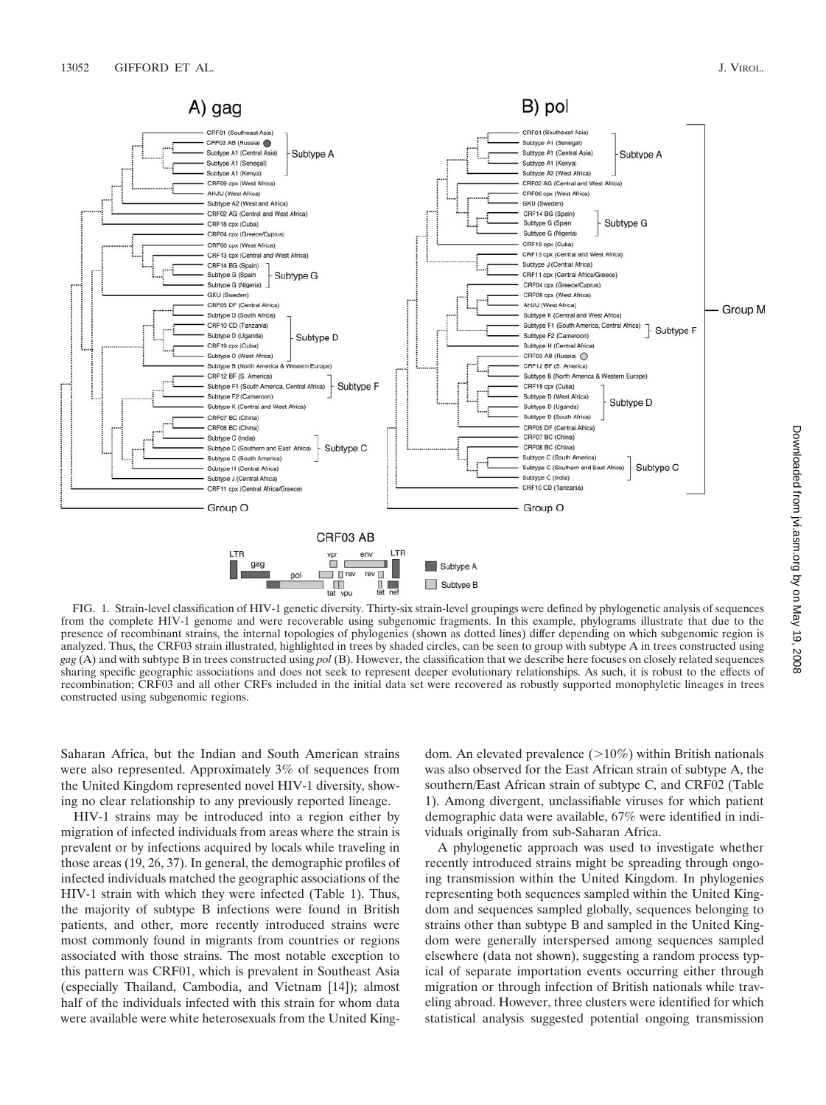

FIG. 1. Strain-level classification of HIV-1 genetic diversity. Thirty-six strain-level groupings were defined by phylogenetic analysis of sequences from the complete HIV-1 genome and were recoverable using subgenomic fragments. In this example, phylograms illustrate that due to the presence of recombinant strains, the internal topologies of phylogenies (shown as dotted lines) differ depending on which subgenomic region is analyzed. Thus, the CRF03 strain illustrated, highlighted in trees by shaded circles, can be seen to group with subtype A in trees constructed using *gag* (A) and with subtype B in trees constructed using *pol* (B). However, the classification that we describe here focuses on closely related sequences sharing specific geographic associations and does not seek to represent deeper evolutionary relationships. As such, it is robust to the effects of recombination; CRF03 and all other CRFs included in the initial data set were recovered as robustly supported monophyletic lineages in trees constructed using subgenomic regions.

Saharan Africa, but the Indian and South American strains were also represented. Approximately 3% of sequences from the United Kingdom represented novel HIV-1 diversity, showing no clear relationship to any previously reported lineage.

HIV-1 strains may be introduced into a region either by migration of infected individuals from areas where the strain is prevalent or by infections acquired by locals while traveling in those areas (19, 26, 37). In general, the demographic profiles of infected individuals matched the geographic associations of the HIV-1 strain with which they were infected (Table 1). Thus, the majority of subtype B infections were found in British patients, and other, more recently introduced strains were most commonly found in migrants from countries or regions associated with those strains. The most notable exception to this pattern was CRF01, which is prevalent in Southeast Asia (especially Thailand, Cambodia, and Vietnam [14]); almost half of the individuals infected with this strain for whom data were available were white heterosexuals from the United Kingdom. An elevated prevalence  $(>10\%)$  within British nationals was also observed for the East African strain of subtype A, the southern/East African strain of subtype C, and CRF02 (Table 1). Among divergent, unclassifiable viruses for which patient demographic data were available, 67% were identified in individuals originally from sub-Saharan Africa.

A phylogenetic approach was used to investigate whether recently introduced strains might be spreading through ongoing transmission within the United Kingdom. In phylogenies representing both sequences sampled within the United Kingdom and sequences sampled globally, sequences belonging to strains other than subtype B and sampled in the United Kingdom were generally interspersed among sequences sampled elsewhere (data not shown), suggesting a random process typical of separate importation events occurring either through migration or through infection of British nationals while traveling abroad. However, three clusters were identified for which statistical analysis suggested potential ongoing transmission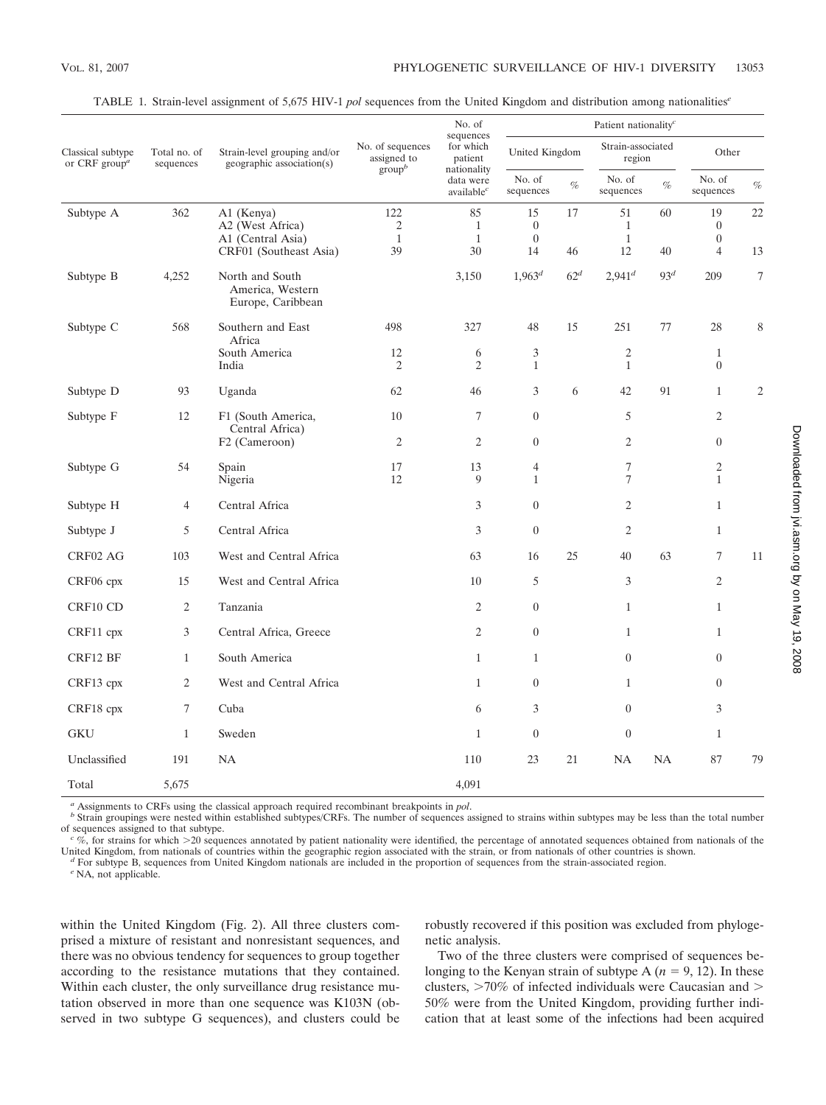TABLE 1. Strain-level assignment of 5,675 HIV-1 *pol* sequences from the United Kingdom and distribution among nationalities*<sup>e</sup>*

| Classical subtype<br>or CRF group <sup><math>a</math></sup> | Total no. of<br>sequences | Strain-level grouping and/or<br>geographic association(s) | No. of sequences<br>assigned to<br>group <sup>b</sup> | No. of<br>sequences<br>for which<br>patient<br>nationality<br>data were<br>availablec | Patient nationality <sup>c</sup>     |                 |                              |                 |                                      |                  |
|-------------------------------------------------------------|---------------------------|-----------------------------------------------------------|-------------------------------------------------------|---------------------------------------------------------------------------------------|--------------------------------------|-----------------|------------------------------|-----------------|--------------------------------------|------------------|
|                                                             |                           |                                                           |                                                       |                                                                                       | United Kingdom                       |                 | Strain-associated<br>region  |                 | Other                                |                  |
|                                                             |                           |                                                           |                                                       |                                                                                       | No. of<br>sequences                  | $\%$            | No. of<br>sequences          | $\%$            | No. of<br>sequences                  | $\%$             |
| Subtype A                                                   | 362                       | A1 (Kenya)                                                | 122                                                   | 85                                                                                    | 15                                   | 17              | 51                           | 60              | 19                                   | 22               |
|                                                             |                           | A2 (West Africa)<br>A1 (Central Asia)                     | $\mathfrak{2}$<br>$\mathbf{1}$                        | $\mathbf{1}$<br>$\mathbf{1}$                                                          | $\boldsymbol{0}$<br>$\boldsymbol{0}$ |                 | $\mathbf{1}$<br>$\mathbf{1}$ |                 | $\boldsymbol{0}$<br>$\boldsymbol{0}$ |                  |
|                                                             |                           | CRF01 (Southeast Asia)                                    | 39                                                    | 30                                                                                    | 14                                   | 46              | 12                           | 40              | $\overline{4}$                       | 13               |
| Subtype B                                                   | 4,252                     | North and South<br>America, Western<br>Europe, Caribbean  |                                                       | 3,150                                                                                 | $1,963^d$                            | 62 <sup>d</sup> | 2,941 <sup>d</sup>           | 93 <sup>d</sup> | 209                                  | $\boldsymbol{7}$ |
| Subtype C                                                   | 568                       | Southern and East<br>Africa                               | 498                                                   | 327                                                                                   | 48                                   | 15              | 251                          | 77              | 28                                   | 8                |
|                                                             |                           | South America                                             | 12                                                    | 6                                                                                     | 3                                    |                 | 2                            |                 | 1                                    |                  |
|                                                             |                           | India                                                     | $\overline{2}$                                        | $\overline{c}$                                                                        | $\mathbf{1}$                         |                 | $\mathbf{1}$                 |                 | $\mathbf{0}$                         |                  |
| Subtype D                                                   | 93                        | Uganda                                                    | 62                                                    | 46                                                                                    | 3                                    | 6               | 42                           | 91              | $\mathbf{1}$                         | $\overline{c}$   |
| Subtype F                                                   | 12                        | F1 (South America,                                        | 10                                                    | 7                                                                                     | $\boldsymbol{0}$                     |                 | 5                            |                 | $\mathfrak{2}$                       |                  |
|                                                             |                           | Central Africa)<br>F <sub>2</sub> (Cameroon)              | $\mathfrak{2}$                                        | 2                                                                                     | $\boldsymbol{0}$                     |                 | 2                            |                 | $\boldsymbol{0}$                     |                  |
| Subtype G                                                   | 54                        | Spain                                                     | 17                                                    | 13                                                                                    | 4                                    |                 | 7                            |                 | $\mathfrak{2}$                       |                  |
|                                                             |                           | Nigeria                                                   | 12                                                    | 9                                                                                     | $\mathbf{1}$                         |                 | 7                            |                 | $\mathbf{1}$                         |                  |
| Subtype H                                                   | $\overline{4}$            | Central Africa                                            |                                                       | 3                                                                                     | $\theta$                             |                 | 2                            |                 | $\mathbf{1}$                         |                  |
| Subtype J                                                   | 5                         | Central Africa                                            |                                                       | 3                                                                                     | $\boldsymbol{0}$                     |                 | 2                            |                 | $\mathbf{1}$                         |                  |
| CRF02 AG                                                    | 103                       | West and Central Africa                                   |                                                       | 63                                                                                    | 16                                   | 25              | 40                           | 63              | $\tau$                               | 11               |
| CRF06 cpx                                                   | 15                        | West and Central Africa                                   |                                                       | 10                                                                                    | $\sqrt{5}$                           |                 | 3                            |                 | $\mathfrak{2}$                       |                  |
| CRF10 CD                                                    | $\sqrt{2}$                | Tanzania                                                  |                                                       | 2                                                                                     | $\boldsymbol{0}$                     |                 | $\mathbf{1}$                 |                 | $\mathbf{1}$                         |                  |
| $CRF11$ cpx                                                 | 3                         | Central Africa, Greece                                    |                                                       | $\overline{c}$                                                                        | $\boldsymbol{0}$                     |                 | $\mathbf{1}$                 |                 | $\mathbf{1}$                         |                  |
| CRF12 BF                                                    | $\mathbf{1}$              | South America                                             |                                                       | $\mathbf{1}$                                                                          | $\mathbf{1}$                         |                 | $\boldsymbol{0}$             |                 | $\boldsymbol{0}$                     |                  |
| $CRF13$ cpx                                                 | 2                         | West and Central Africa                                   |                                                       | $\mathbf{1}$                                                                          | $\theta$                             |                 | $\mathbf{1}$                 |                 | $\overline{0}$                       |                  |
| CRF18 cpx                                                   | $\boldsymbol{7}$          | Cuba                                                      |                                                       | 6                                                                                     | 3                                    |                 | $\boldsymbol{0}$             |                 | 3                                    |                  |
| <b>GKU</b>                                                  | $\mathbf{1}$              | Sweden                                                    |                                                       | $\mathbf{1}$                                                                          | $\boldsymbol{0}$                     |                 | $\boldsymbol{0}$             |                 | $\mathbf{1}$                         |                  |
| Unclassified                                                | 191                       | <b>NA</b>                                                 |                                                       | 110                                                                                   | 23                                   | 21              | NA                           | <b>NA</b>       | 87                                   | 79               |
| Total                                                       | 5,675                     |                                                           |                                                       | 4.091                                                                                 |                                      |                 |                              |                 |                                      |                  |

 $\alpha$  Assignments to CRFs using the classical approach required recombinant breakpoints in *pol*.<br>
<sup>*b*</sup> Strain groupings were nested within established subtypes/CRFs. The number of sequences assigned to strains within sub

%, for strains for which >20 sequences annotated by patient nationality were identified, the percentage of annotated sequences obtained from nationals of the United Kingdom, from nationals of countries within the geographic region associated with the strain, or from nationals of other countries is shown.<br>
<sup>d</sup> For subtype B, sequences from United Kingdom nationals are included i

*<sup>e</sup>* NA, not applicable.

within the United Kingdom (Fig. 2). All three clusters comprised a mixture of resistant and nonresistant sequences, and there was no obvious tendency for sequences to group together according to the resistance mutations that they contained. Within each cluster, the only surveillance drug resistance mutation observed in more than one sequence was K103N (observed in two subtype G sequences), and clusters could be

robustly recovered if this position was excluded from phylogenetic analysis.

Two of the three clusters were comprised of sequences belonging to the Kenyan strain of subtype A  $(n = 9, 12)$ . In these clusters,  $>70\%$  of infected individuals were Caucasian and  $>$ 50% were from the United Kingdom, providing further indication that at least some of the infections had been acquired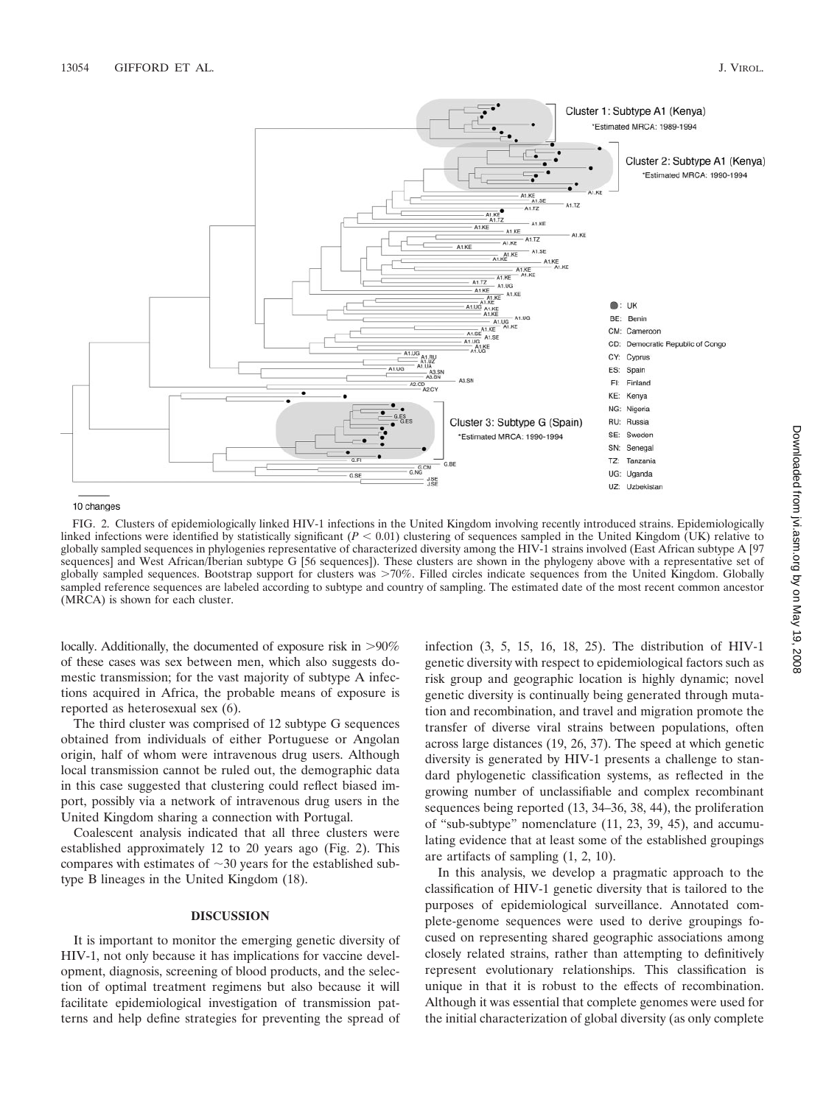

10 changes

FIG. 2. Clusters of epidemiologically linked HIV-1 infections in the United Kingdom involving recently introduced strains. Epidemiologically linked infections were identified by statistically significant  $(P < 0.01)$  clustering of sequences sampled in the United Kingdom (UK) relative to globally sampled sequences in phylogenies representative of characterized diversity among the HIV-1 strains involved (East African subtype A [97 sequences] and West African/Iberian subtype G [56 sequences]). These clusters are shown in the phylogeny above with a representative set of globally sampled sequences. Bootstrap support for clusters was 70%. Filled circles indicate sequences from the United Kingdom. Globally sampled reference sequences are labeled according to subtype and country of sampling. The estimated date of the most recent common ancestor (MRCA) is shown for each cluster.

locally. Additionally, the documented of exposure risk in  $>90\%$ of these cases was sex between men, which also suggests domestic transmission; for the vast majority of subtype A infections acquired in Africa, the probable means of exposure is reported as heterosexual sex (6).

The third cluster was comprised of 12 subtype G sequences obtained from individuals of either Portuguese or Angolan origin, half of whom were intravenous drug users. Although local transmission cannot be ruled out, the demographic data in this case suggested that clustering could reflect biased import, possibly via a network of intravenous drug users in the United Kingdom sharing a connection with Portugal.

Coalescent analysis indicated that all three clusters were established approximately 12 to 20 years ago (Fig. 2). This compares with estimates of  $\sim$ 30 years for the established subtype B lineages in the United Kingdom (18).

## **DISCUSSION**

It is important to monitor the emerging genetic diversity of HIV-1, not only because it has implications for vaccine development, diagnosis, screening of blood products, and the selection of optimal treatment regimens but also because it will facilitate epidemiological investigation of transmission patterns and help define strategies for preventing the spread of infection (3, 5, 15, 16, 18, 25). The distribution of HIV-1 genetic diversity with respect to epidemiological factors such as risk group and geographic location is highly dynamic; novel genetic diversity is continually being generated through mutation and recombination, and travel and migration promote the transfer of diverse viral strains between populations, often across large distances (19, 26, 37). The speed at which genetic diversity is generated by HIV-1 presents a challenge to standard phylogenetic classification systems, as reflected in the growing number of unclassifiable and complex recombinant sequences being reported (13, 34–36, 38, 44), the proliferation of "sub-subtype" nomenclature (11, 23, 39, 45), and accumulating evidence that at least some of the established groupings are artifacts of sampling (1, 2, 10).

In this analysis, we develop a pragmatic approach to the classification of HIV-1 genetic diversity that is tailored to the purposes of epidemiological surveillance. Annotated complete-genome sequences were used to derive groupings focused on representing shared geographic associations among closely related strains, rather than attempting to definitively represent evolutionary relationships. This classification is unique in that it is robust to the effects of recombination. Although it was essential that complete genomes were used for the initial characterization of global diversity (as only complete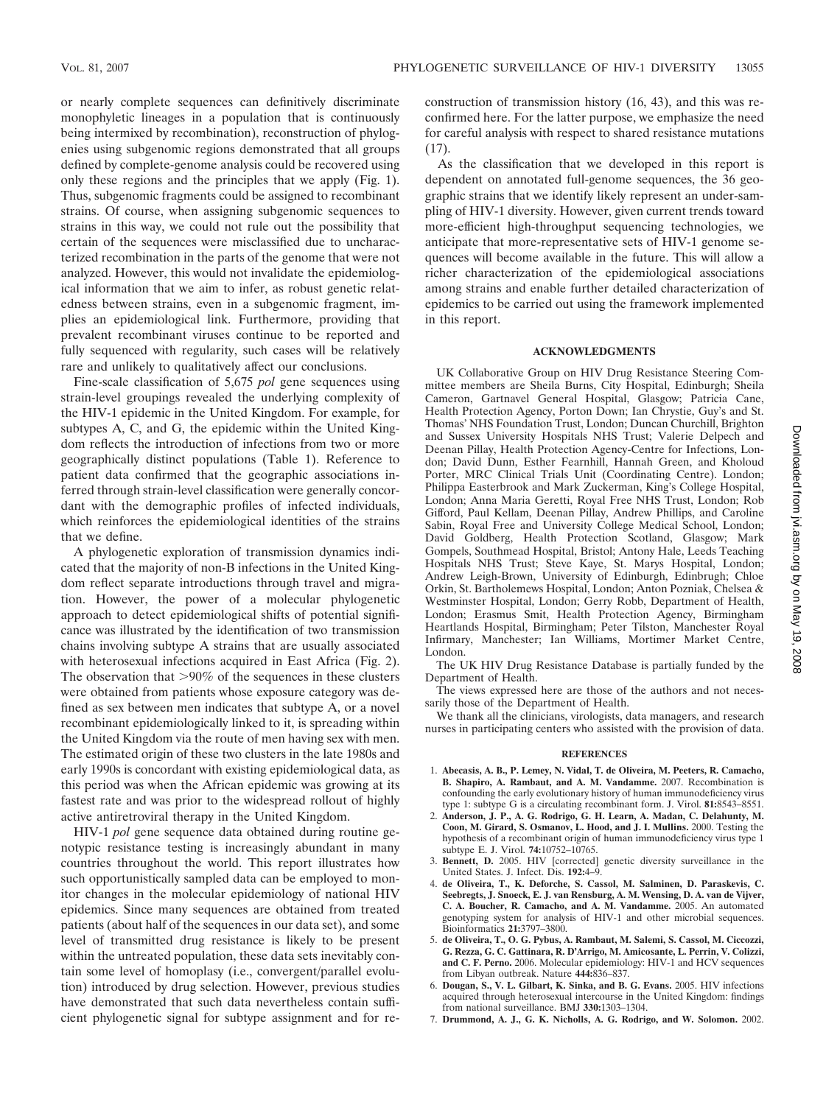or nearly complete sequences can definitively discriminate monophyletic lineages in a population that is continuously being intermixed by recombination), reconstruction of phylogenies using subgenomic regions demonstrated that all groups defined by complete-genome analysis could be recovered using only these regions and the principles that we apply (Fig. 1). Thus, subgenomic fragments could be assigned to recombinant strains. Of course, when assigning subgenomic sequences to strains in this way, we could not rule out the possibility that certain of the sequences were misclassified due to uncharacterized recombination in the parts of the genome that were not analyzed. However, this would not invalidate the epidemiological information that we aim to infer, as robust genetic relatedness between strains, even in a subgenomic fragment, implies an epidemiological link. Furthermore, providing that prevalent recombinant viruses continue to be reported and fully sequenced with regularity, such cases will be relatively rare and unlikely to qualitatively affect our conclusions.

Fine-scale classification of 5,675 *pol* gene sequences using strain-level groupings revealed the underlying complexity of the HIV-1 epidemic in the United Kingdom. For example, for subtypes A, C, and G, the epidemic within the United Kingdom reflects the introduction of infections from two or more geographically distinct populations (Table 1). Reference to patient data confirmed that the geographic associations inferred through strain-level classification were generally concordant with the demographic profiles of infected individuals, which reinforces the epidemiological identities of the strains that we define.

A phylogenetic exploration of transmission dynamics indicated that the majority of non-B infections in the United Kingdom reflect separate introductions through travel and migration. However, the power of a molecular phylogenetic approach to detect epidemiological shifts of potential significance was illustrated by the identification of two transmission chains involving subtype A strains that are usually associated with heterosexual infections acquired in East Africa (Fig. 2). The observation that  $>90\%$  of the sequences in these clusters were obtained from patients whose exposure category was defined as sex between men indicates that subtype A, or a novel recombinant epidemiologically linked to it, is spreading within the United Kingdom via the route of men having sex with men. The estimated origin of these two clusters in the late 1980s and early 1990s is concordant with existing epidemiological data, as this period was when the African epidemic was growing at its fastest rate and was prior to the widespread rollout of highly active antiretroviral therapy in the United Kingdom.

HIV-1 *pol* gene sequence data obtained during routine genotypic resistance testing is increasingly abundant in many countries throughout the world. This report illustrates how such opportunistically sampled data can be employed to monitor changes in the molecular epidemiology of national HIV epidemics. Since many sequences are obtained from treated patients (about half of the sequences in our data set), and some level of transmitted drug resistance is likely to be present within the untreated population, these data sets inevitably contain some level of homoplasy (i.e., convergent/parallel evolution) introduced by drug selection. However, previous studies have demonstrated that such data nevertheless contain sufficient phylogenetic signal for subtype assignment and for reconstruction of transmission history (16, 43), and this was reconfirmed here. For the latter purpose, we emphasize the need for careful analysis with respect to shared resistance mutations (17).

As the classification that we developed in this report is dependent on annotated full-genome sequences, the 36 geographic strains that we identify likely represent an under-sampling of HIV-1 diversity. However, given current trends toward more-efficient high-throughput sequencing technologies, we anticipate that more-representative sets of HIV-1 genome sequences will become available in the future. This will allow a richer characterization of the epidemiological associations among strains and enable further detailed characterization of epidemics to be carried out using the framework implemented in this report.

### **ACKNOWLEDGMENTS**

UK Collaborative Group on HIV Drug Resistance Steering Committee members are Sheila Burns, City Hospital, Edinburgh; Sheila Cameron, Gartnavel General Hospital, Glasgow; Patricia Cane, Health Protection Agency, Porton Down; Ian Chrystie, Guy's and St. Thomas' NHS Foundation Trust, London; Duncan Churchill, Brighton and Sussex University Hospitals NHS Trust; Valerie Delpech and Deenan Pillay, Health Protection Agency-Centre for Infections, London; David Dunn, Esther Fearnhill, Hannah Green, and Kholoud Porter, MRC Clinical Trials Unit (Coordinating Centre). London; Philippa Easterbrook and Mark Zuckerman, King's College Hospital, London; Anna Maria Geretti, Royal Free NHS Trust, London; Rob Gifford, Paul Kellam, Deenan Pillay, Andrew Phillips, and Caroline Sabin, Royal Free and University College Medical School, London; David Goldberg, Health Protection Scotland, Glasgow; Mark Gompels, Southmead Hospital, Bristol; Antony Hale, Leeds Teaching Hospitals NHS Trust; Steve Kaye, St. Marys Hospital, London; Andrew Leigh-Brown, University of Edinburgh, Edinbrugh; Chloe Orkin, St. Bartholemews Hospital, London; Anton Pozniak, Chelsea & Westminster Hospital, London; Gerry Robb, Department of Health, London; Erasmus Smit, Health Protection Agency, Birmingham Heartlands Hospital, Birmingham; Peter Tilston, Manchester Royal Infirmary, Manchester; Ian Williams, Mortimer Market Centre, London.

The UK HIV Drug Resistance Database is partially funded by the Department of Health.

The views expressed here are those of the authors and not necessarily those of the Department of Health.

We thank all the clinicians, virologists, data managers, and research nurses in participating centers who assisted with the provision of data.

### **REFERENCES**

- 1. **Abecasis, A. B., P. Lemey, N. Vidal, T. de Oliveira, M. Peeters, R. Camacho, B. Shapiro, A. Rambaut, and A. M. Vandamme.** 2007. Recombination is confounding the early evolutionary history of human immunodeficiency virus type 1: subtype G is a circulating recombinant form. J. Virol. **81:**8543–8551.
- 2. **Anderson, J. P., A. G. Rodrigo, G. H. Learn, A. Madan, C. Delahunty, M. Coon, M. Girard, S. Osmanov, L. Hood, and J. I. Mullins.** 2000. Testing the hypothesis of a recombinant origin of human immunodeficiency virus type 1 subtype E. J. Virol. **74:**10752–10765.
- 3. **Bennett, D.** 2005. HIV [corrected] genetic diversity surveillance in the United States. J. Infect. Dis. **192:**4–9.
- 4. **de Oliveira, T., K. Deforche, S. Cassol, M. Salminen, D. Paraskevis, C. Seebregts, J. Snoeck, E. J. van Rensburg, A. M. Wensing, D. A. van de Vijver, C. A. Boucher, R. Camacho, and A. M. Vandamme.** 2005. An automated genotyping system for analysis of HIV-1 and other microbial sequences. Bioinformatics **21:**3797–3800.
- 5. **de Oliveira, T., O. G. Pybus, A. Rambaut, M. Salemi, S. Cassol, M. Ciccozzi, G. Rezza, G. C. Gattinara, R. D'Arrigo, M. Amicosante, L. Perrin, V. Colizzi, and C. F. Perno.** 2006. Molecular epidemiology: HIV-1 and HCV sequences from Libyan outbreak. Nature **444:**836–837.
- 6. **Dougan, S., V. L. Gilbart, K. Sinka, and B. G. Evans.** 2005. HIV infections acquired through heterosexual intercourse in the United Kingdom: findings from national surveillance. BMJ **330:**1303–1304.
- 7. **Drummond, A. J., G. K. Nicholls, A. G. Rodrigo, and W. Solomon.** 2002.